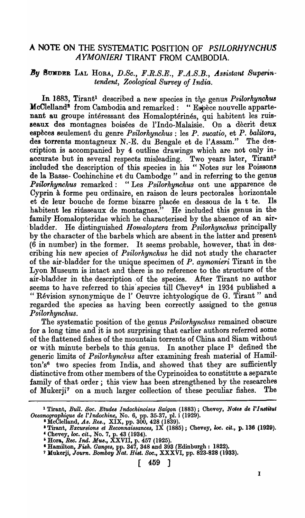## A NOTE ON THE SYSTEMATIC POSITION OF *PSILORHYNCHVS AYMONIERI* TIRANT FROM CAMBODIA.

## By SUNDER LAL HORA, D.Sc., F.R.S.E., F.A.S.B., Assistant Superin*tendent, Zoological Survey of India.*

In 1883, Tirant<sup>1</sup> described a new species in the genus *Psilorhynchus* McClelland<sup>2</sup> from Cambodia and remarked: "Espèce nouvelle appartenant au groupe intéressant des Homaloptérinés, qui habitent les ruisseaux des montagnes boisées de l'Indo-Malaisie. On a dècrit deux espèces seulement du genre *Psilorhynchus* : les *P. sucatio*, et *P. balitora*, des torrents montagneux N.-E. du Bengale et de l'Assam." The description is accompanied by 4 outline drawings which are not only inaccurate but in several respects misleading. Two years later, Tirant<sup>3</sup> included the description of this species in his "Notes sur les Poissons de la Basse- Cochinchine et du Cambodge" and in referring to the genus *Psilorhynchus* remarked: "Lea *Psilorhynchus* ont une apparence de Cyprin à forme peu ordinaire, en raison de leurs pectorales horizontale<br>et de leur bouche de forme bizarre placée en dessous de la tite. Ils et de leur bouche de forme bizarre placée en dessous de la tite. habitent les riusseaux de montagnes." He included this genus in the family Homalopteridae which he characterised by the absence of an airbladder. He distinguished *Homaloptera* from *Psilorhynchus* principally by the character of the barbels which are absent in the latter and present (6 in number) in the former. It seems probable, however, that in describing his new species of *Psilorhynchus* he did not study the character of the air-bladder for the unique specimen of *P. ay'monieri* Tirant in the Lyon Museum is intact and there is no reference to the structure of the air-bladder in the description -of the species. After Tirant no author seems to have referred to this species till Chevey<sup>4</sup> in 1934 published a " Revision synonymique de l' Oeuvre ichtyologique de G. Tirant" and regarded the species as having been correctly assigned to the genus *Psilorhynchus.* 

The systematic position of the genus *Psilorhynchus* remained obscure for a long time and it is not surprising that earlier authors referred some of the flattened fishes of the mountain torrents of China and Siam without or with minute berbels to this genus. In another place  $I<sup>5</sup>$  defined the generic limits of *Psilorhynchus* after examining fresh material of Hamilton's6 two species from India, and showed that they are sufficiently distinctive from other members of the Cyprinoidea to constitute a separate family of that order; this view has been strengthened by the researches of Mukerji7 on a much larger collection of these peculiar fishes. The

<sup>&</sup>lt;sup>1</sup> Tirant, *Bull. Soc. Etudes Indochinoises Saigon* (1883); Chevey, *Notes de l'Institut Oceanographique de l'lndochine,* No.6, pp. 35-37, pl. i (1929).

<sup>&</sup>lt;sup>2</sup> McClelland, As. Res., XIX, pp. 300, 428 (1839).

<sup>&</sup>lt;sup>3</sup> Tirant, *Excursions et Reconnaissances*, IX (1885); Chevey, *loc. cit.*, p. 136 (1929). « Chevey, *loco cit.,* No.7, p. 43 (1934).

<sup>&</sup>lt;sup>5</sup> Hora, *Rec. Ind. Mus.*, XXVII, p. 457 (1925).

<sup>I</sup>Hamilton, *Fish. Gangea,* pp. 347, 348 and 393 (Edinburgh: 1822).

<sup>&</sup>lt;sup>7</sup> Mukerji, *Journ. Bombay Nat. Hist. Soc.*, XXXVI, pp. 823-828 (1933).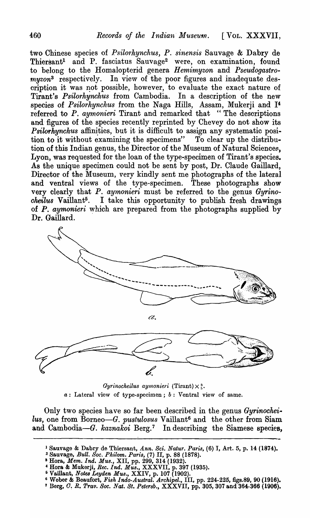two Chinese species of *Psilorhynchus, P. sinensis* Sauvage & Dabry de Thiersant<sup>1</sup> and P. fasciatus Sauvage<sup>2</sup> were, on examination, found to belong to the Homalopterid genera *Hemimyzon* and *Pseudogastromyzon*<sup>3</sup> respectively. In view of the poor figures and inadequate description it was not possible, however, to evaluate the exact nature of Tirant's *Psilorhynchus* from Cambodia. In a description of the new species of *Psilorhynchus* from the Naga Hills, Assam, Mukerji and 14 referred to P. *aymonieri* Tirant and remarked that "The descriptions" and figures of the species recently reprinted by Chevey do not show its *Psilorhynchus* affinities, but it is difficult to assign any systematic position to it without examining the specimens" To clear up the distribution of this Indian genus, the Director of the Museum of Natural Sciences, Lyon, was requested for the loan of the type-specimen of Tirant's species. As the unique specimen could not be sent by post, Dr. Claude Gaillard, Director of the Museum, very kindly sent me photographs of the lateral and ventral views of the type-specimen. These photographs show very clearly that P. *aymonieri* must be referred to the genus *Gyrinocheilus* Vaillant5• I take this opportunity to publish fresh drawings of P. *aymonieri* which are prepared from the photographs supplied by Dr. Gaillard.



 $Gyrinocheilus$  *aymonieri* (Tirant)  $\times \frac{3}{5}$ . a: Lateral view of type-specimen; *b:* Ventral view of same.

Only two species have so far been described in the genus *Gyrinochei. lus,* one from Borneo-G. *pustulosus* Vaillant6 and the other from Siam and Cambodia-G. *kaznakoi* Berg.<sup>7</sup> In describing the Siamese species,

- % Sauvage, *Bull. Soc. Philom. Part's,* (7) II, p. 88 (1878).
- 3 Hora, *Mem. Ind. Mus.,* XII, pp. 299, 314 (1932).
- 4 Hora & Mukerji, *Ree. Ind. M·us.,* XXXVII, p. 397 (1935).
- <sup>5</sup> Vaillant, *Notes Leyden Mus.*, XXIV, p. 107 (1902).
- 6 Weber & Beaufort, *Fish Indo-Austral. Archipel.,* III, pp. 224-225, figs.89, 90 (1916). 7 Berg, O~ *R. Trav. Soc. Nat. St. Petersb.,* XXXVII, pp. 305,307 and 364-366 (1906).
- 

<sup>1</sup> Sauvage & Dabry de Thiersant, *Ann. Sci. Natur. Paris,* (6) I, Art. 5, p. 14 (1874).